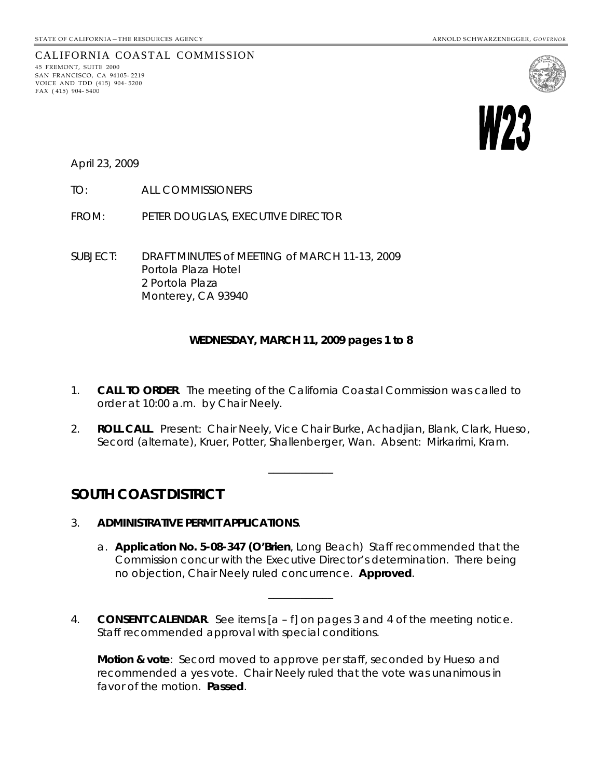

CALIFORNIA COASTAL COMMISSION 45 FREMONT, SUITE 2000

SAN FRANCISCO, CA 94105- 2219 VOICE AND TDD (415) 904- 5200 FAX ( 415) 904- 5400

April 23, 2009

TO: ALL COMMISSIONERS

FROM: PETER DOUGLAS, EXECUTIVE DIRECTOR

SUBJECT: DRAFT MINUTES of MEETING of MARCH 11-13, 2009 Portola Plaza Hotel 2 Portola Plaza Monterey, CA 93940

#### **WEDNESDAY, MARCH 11, 2009 pages 1 to 8**

- 1. **CALL TO ORDER**. The meeting of the California Coastal Commission was called to order at 10:00 a.m. by Chair Neely.
- 2. **ROLL CALL**. Present: Chair Neely, Vice Chair Burke, Achadjian, Blank, Clark, Hueso, Secord (alternate), Kruer, Potter, Shallenberger, Wan. Absent: Mirkarimi, Kram.

\_\_\_\_\_\_\_\_\_\_\_\_

## **SOUTH COAST DISTRICT**

- 3. **ADMINISTRATIVE PERMIT APPLICATIONS**.
	- a. **Application No. 5-08-347 (O'Brien**, Long Beach) Staff recommended that the Commission concur with the Executive Director's determination. There being no objection, Chair Neely ruled concurrence. **Approved**.
- 4. **CONSENT CALENDAR**. See items [a f] on pages 3 and 4 of the meeting notice. Staff recommended approval with special conditions.

\_\_\_\_\_\_\_\_\_\_\_\_

**Motion & vote**: Secord moved to approve per staff, seconded by Hueso and recommended a yes vote. Chair Neely ruled that the vote was unanimous in favor of the motion. **Passed**.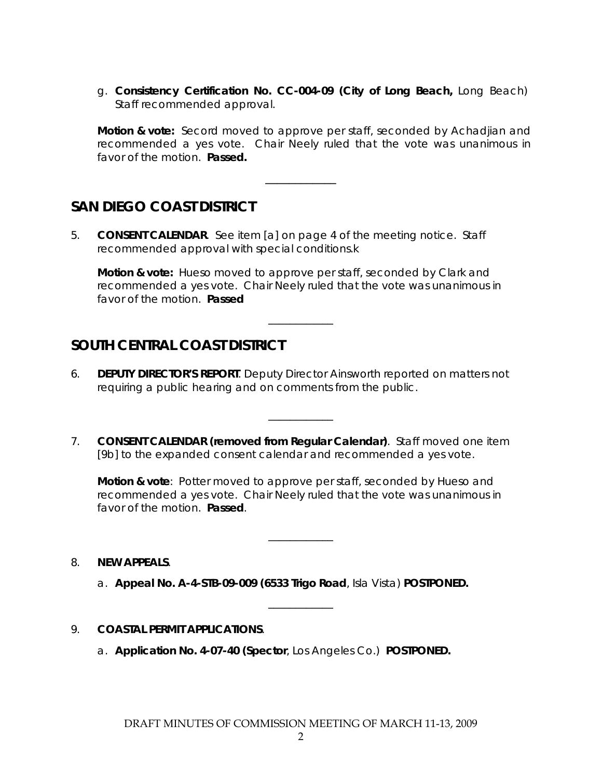g. **Consistency Certification No. CC-004-09 (City of Long Beach,** Long Beach) Staff recommended approval.

**Motion & vote:** Secord moved to approve per staff, seconded by Achadjian and recommended a yes vote. Chair Neely ruled that the vote was unanimous in favor of the motion. **Passed.**

\_\_\_\_\_\_\_\_\_\_\_\_

# **SAN DIEGO COAST DISTRICT**

5. **CONSENT CALENDAR**. See item [a] on page 4 of the meeting notice. Staff recommended approval with special conditions.k

**Motion & vote:** Hueso moved to approve per staff, seconded by Clark and recommended a yes vote. Chair Neely ruled that the vote was unanimous in favor of the motion. **Passed**

\_\_\_\_\_\_\_\_\_\_\_\_

## **SOUTH CENTRAL COAST DISTRICT**

- 6. **DEPUTY DIRECTOR'S REPORT**. Deputy Director Ainsworth reported on matters not requiring a public hearing and on comments from the public.
- 7. **CONSENT CALENDAR (removed from Regular Calendar)**. Staff moved one item [9b] to the expanded consent calendar and recommended a yes vote.

\_\_\_\_\_\_\_\_\_\_\_\_

**Motion & vote**: Potter moved to approve per staff, seconded by Hueso and recommended a yes vote. Chair Neely ruled that the vote was unanimous in favor of the motion. **Passed**.

\_\_\_\_\_\_\_\_\_\_\_\_

\_\_\_\_\_\_\_\_\_\_\_\_

- 8. **NEW APPEALS**.
	- a. **Appeal No. A-4-STB-09-009 (6533 Trigo Road**, Isla Vista) **POSTPONED.**
- 9. **COASTAL PERMIT APPLICATIONS**.
	- a. **Application No. 4-07-40 (Spector**, Los Angeles Co.) **POSTPONED.**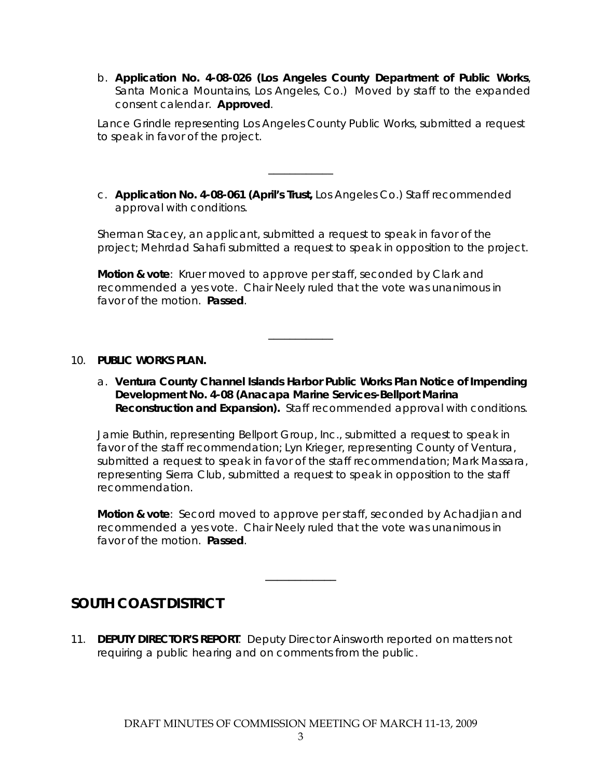b. **Application No. 4-08-026 (Los Angeles County Department of Public Works**, Santa Monica Mountains, Los Angeles, Co.) Moved by staff to the expanded consent calendar. **Approved**.

Lance Grindle representing Los Angeles County Public Works, submitted a request to speak in favor of the project.

c. **Application No. 4-08-061 (April's Trust,** Los Angeles Co.) Staff recommended approval with conditions.

\_\_\_\_\_\_\_\_\_\_\_\_

Sherman Stacey, an applicant, submitted a request to speak in favor of the project; Mehrdad Sahafi submitted a request to speak in opposition to the project.

**Motion & vote**: Kruer moved to approve per staff, seconded by Clark and recommended a yes vote. Chair Neely ruled that the vote was unanimous in favor of the motion. **Passed**.

\_\_\_\_\_\_\_\_\_\_\_\_

#### 10. **PUBLIC WORKS PLAN.**

a. **Ventura County Channel Islands Harbor Public Works Plan Notice of Impending Development No. 4-08 (Anacapa Marine Services-Bellport Marina Reconstruction and Expansion).** Staff recommended approval with conditions.

Jamie Buthin, representing Bellport Group, Inc., submitted a request to speak in favor of the staff recommendation; Lyn Krieger, representing County of Ventura, submitted a request to speak in favor of the staff recommendation; Mark Massara, representing Sierra Club, submitted a request to speak in opposition to the staff recommendation.

**Motion & vote**: Secord moved to approve per staff, seconded by Achadjian and recommended a yes vote. Chair Neely ruled that the vote was unanimous in favor of the motion. **Passed**.

\_\_\_\_\_\_\_\_\_\_\_\_

## **SOUTH COAST DISTRICT**

11. **DEPUTY DIRECTOR'S REPORT**. Deputy Director Ainsworth reported on matters not requiring a public hearing and on comments from the public.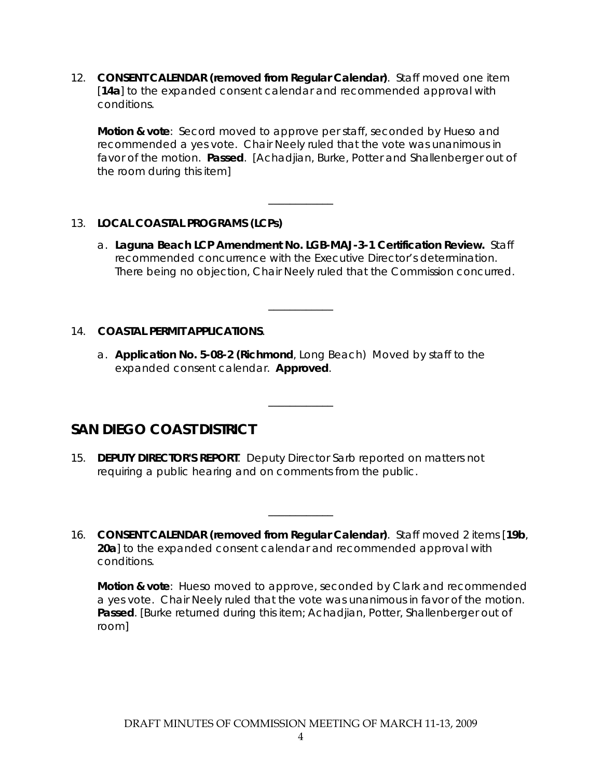12. **CONSENT CALENDAR (removed from Regular Calendar)**. Staff moved one item [**14a**] to the expanded consent calendar and recommended approval with conditions.

**Motion & vote**: Secord moved to approve per staff, seconded by Hueso and recommended a yes vote. Chair Neely ruled that the vote was unanimous in favor of the motion. **Passed**. [*Achadjian, Burke, Potter and Shallenberger out of the room during this item*]

### 13. **LOCAL COASTAL PROGRAMS (LCPs)**

a. **Laguna Beach LCP Amendment No. LGB-MAJ-3-1 Certification Review.** Staff recommended concurrence with the Executive Director's determination. There being no objection, Chair Neely ruled that the Commission concurred.

\_\_\_\_\_\_\_\_\_\_\_\_

\_\_\_\_\_\_\_\_\_\_\_\_

### 14. **COASTAL PERMIT APPLICATIONS**.

a. **Application No. 5-08-2 (Richmond**, Long Beach) Moved by staff to the expanded consent calendar. **Approved**.

\_\_\_\_\_\_\_\_\_\_\_\_

# **SAN DIEGO COAST DISTRICT**

- 15. **DEPUTY DIRECTOR'S REPORT**. Deputy Director Sarb reported on matters not requiring a public hearing and on comments from the public.
- 16. **CONSENT CALENDAR (removed from Regular Calendar)**. Staff moved 2 items [**19b**, **20a**] to the expanded consent calendar and recommended approval with conditions.

\_\_\_\_\_\_\_\_\_\_\_\_

**Motion & vote**: Hueso moved to approve, seconded by Clark and recommended a yes vote. Chair Neely ruled that the vote was unanimous in favor of the motion. **Passed**. [*Burke returned during this item*; *Achadjian, Potter, Shallenberger out of room*]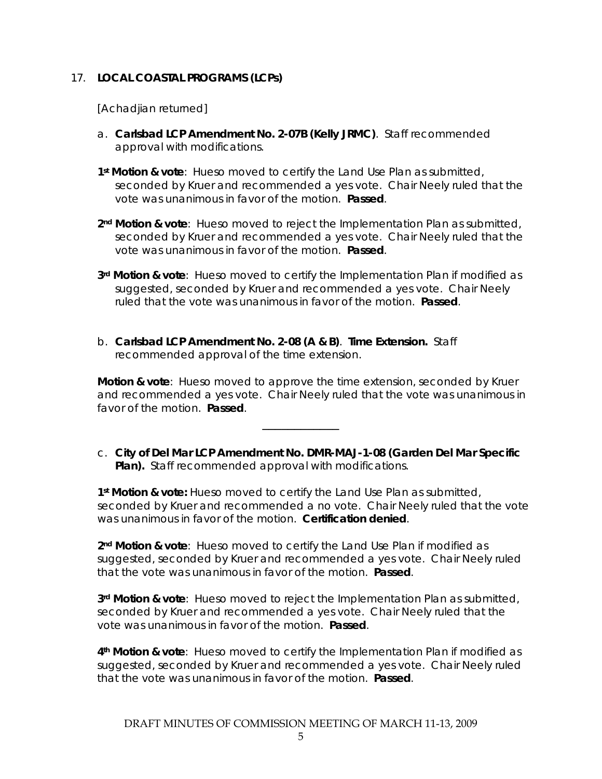#### 17. **LOCAL COASTAL PROGRAMS (LCPs)**

[*Achadjian returned*]

- a. **Carlsbad LCP Amendment No. 2-07B (Kelly JRMC)**. Staff recommended approval with modifications.
- **1st Motion & vote**: Hueso moved to certify the Land Use Plan as submitted, seconded by Kruer and recommended a yes vote. Chair Neely ruled that the vote was unanimous in favor of the motion. **Passed**.
- **2nd Motion & vote**: Hueso moved to reject the Implementation Plan as submitted, seconded by Kruer and recommended a yes vote. Chair Neely ruled that the vote was unanimous in favor of the motion. **Passed**.
- **3rd Motion & vote**: Hueso moved to certify the Implementation Plan if modified as suggested, seconded by Kruer and recommended a yes vote. Chair Neely ruled that the vote was unanimous in favor of the motion. **Passed**.
- b. **Carlsbad LCP Amendment No. 2-08 (A & B)**. **Time Extension.** Staff recommended approval of the time extension.

**Motion & vote**: Hueso moved to approve the time extension, seconded by Kruer and recommended a yes vote. Chair Neely ruled that the vote was unanimous in favor of the motion. **Passed**.

c. **City of Del Mar LCP Amendment No. DMR-MAJ-1-08 (Garden Del Mar Specific Plan).** Staff recommended approval with modifications.

\_\_\_\_\_\_\_\_\_\_\_\_

**1st Motion & vote:** Hueso moved to certify the Land Use Plan as submitted, seconded by Kruer and recommended a no vote. Chair Neely ruled that the vote was unanimous in favor of the motion. **Certification denied**.

**2nd Motion & vote**: Hueso moved to certify the Land Use Plan if modified as suggested, seconded by Kruer and recommended a yes vote. Chair Neely ruled that the vote was unanimous in favor of the motion. **Passed**.

**3rd Motion & vote**: Hueso moved to reject the Implementation Plan as submitted, seconded by Kruer and recommended a yes vote. Chair Neely ruled that the vote was unanimous in favor of the motion. **Passed**.

**4th Motion & vote**: Hueso moved to certify the Implementation Plan if modified as suggested, seconded by Kruer and recommended a yes vote. Chair Neely ruled that the vote was unanimous in favor of the motion. **Passed**.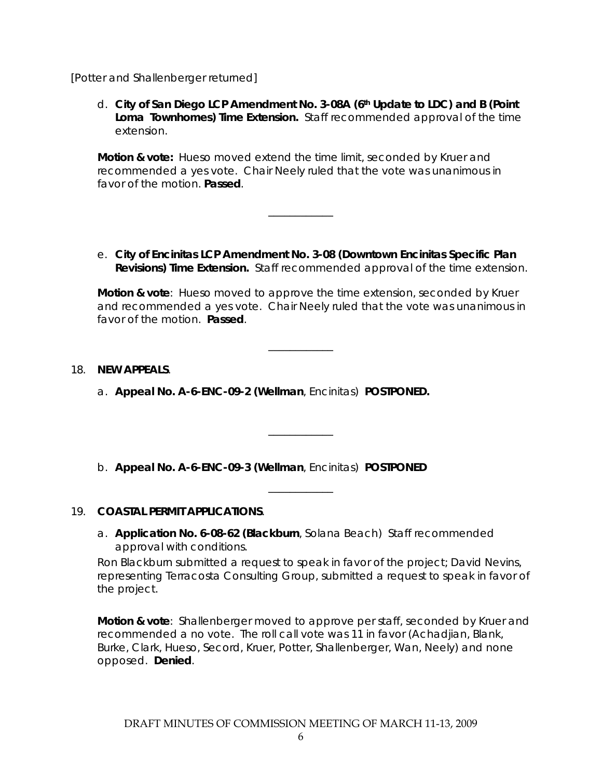#### [*Potter and Shallenberger returned*]

d. **City of San Diego LCP Amendment No. 3-08A (6th Update to LDC) and B (Point Loma Townhomes) Time Extension.** Staff recommended approval of the time extension.

**Motion & vote:** Hueso moved extend the time limit, seconded by Kruer and recommended a yes vote. Chair Neely ruled that the vote was unanimous in favor of the motion. **Passed**.

\_\_\_\_\_\_\_\_\_\_\_\_

e. **City of Encinitas LCP Amendment No. 3-08 (Downtown Encinitas Specific Plan Revisions) Time Extension.** Staff recommended approval of the time extension.

**Motion & vote**: Hueso moved to approve the time extension, seconded by Kruer and recommended a yes vote. Chair Neely ruled that the vote was unanimous in favor of the motion. **Passed**.

\_\_\_\_\_\_\_\_\_\_\_\_

\_\_\_\_\_\_\_\_\_\_\_\_

\_\_\_\_\_\_\_\_\_\_\_\_

#### 18. **NEW APPEALS**.

a. **Appeal No. A-6-ENC-09-2 (Wellman**, Encinitas) **POSTPONED.**

b. **Appeal No. A-6-ENC-09-3 (Wellman**, Encinitas) **POSTPONED**

### 19. **COASTAL PERMIT APPLICATIONS**.

a. **Application No. 6-08-62 (Blackburn**, Solana Beach) Staff recommended approval with conditions.

Ron Blackburn submitted a request to speak in favor of the project; David Nevins, representing Terracosta Consulting Group, submitted a request to speak in favor of the project.

**Motion & vote**: Shallenberger moved to approve per staff, seconded by Kruer and recommended a no vote. The roll call vote was 11 in favor (Achadjian, Blank, Burke, Clark, Hueso, Secord, Kruer, Potter, Shallenberger, Wan, Neely) and none opposed. **Denied**.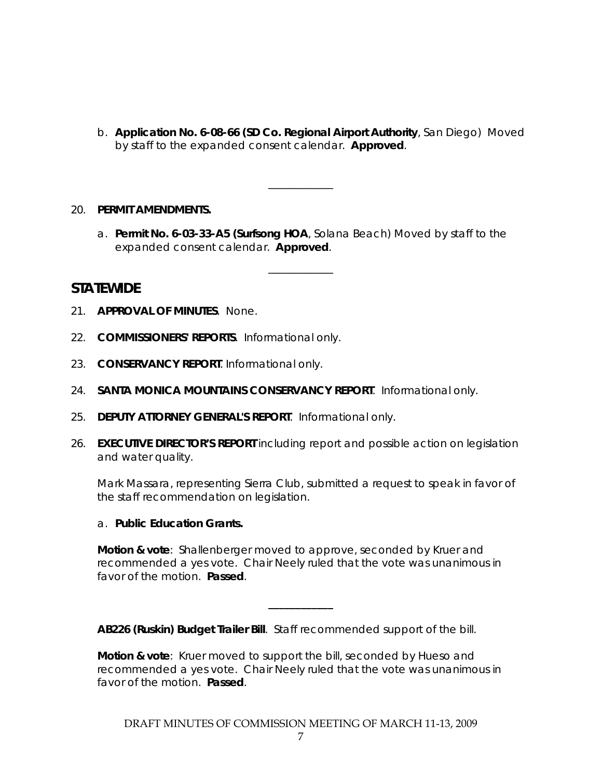b. **Application No. 6-08-66 (SD Co. Regional Airport Authority**, San Diego) Moved by staff to the expanded consent calendar. **Approved**.

#### 20. **PERMIT AMENDMENTS.**

a. **Permit No. 6-03-33-A5 (Surfsong HOA**, Solana Beach) Moved by staff to the expanded consent calendar. **Approved**.

\_\_\_\_\_\_\_\_\_\_\_\_

\_\_\_\_\_\_\_\_\_\_\_\_

**STATEWIDE** 

- 21. **APPROVAL OF MINUTES**. None.
- 22. **COMMISSIONERS' REPORTS**. Informational only.
- 23. **CONSERVANCY REPORT**. Informational only.
- 24. **SANTA MONICA MOUNTAINS CONSERVANCY REPORT**. Informational only.
- 25. **DEPUTY ATTORNEY GENERAL'S REPORT**. Informational only.
- 26. **EXECUTIVE DIRECTOR'S REPORT** including report and *possible action* on *legislation* and *water quality*.

Mark Massara, representing Sierra Club, submitted a request to speak in favor of the staff recommendation on legislation.

#### a. **Public Education Grants.**

**Motion & vote**: Shallenberger moved to approve, seconded by Kruer and recommended a yes vote. Chair Neely ruled that the vote was unanimous in favor of the motion. **Passed**.

**\_\_\_\_\_\_\_\_\_\_\_\_**

**AB226 (Ruskin) Budget Trailer Bill**. Staff recommended support of the bill.

**Motion & vote**: Kruer moved to support the bill, seconded by Hueso and recommended a yes vote. Chair Neely ruled that the vote was unanimous in favor of the motion. **Passed**.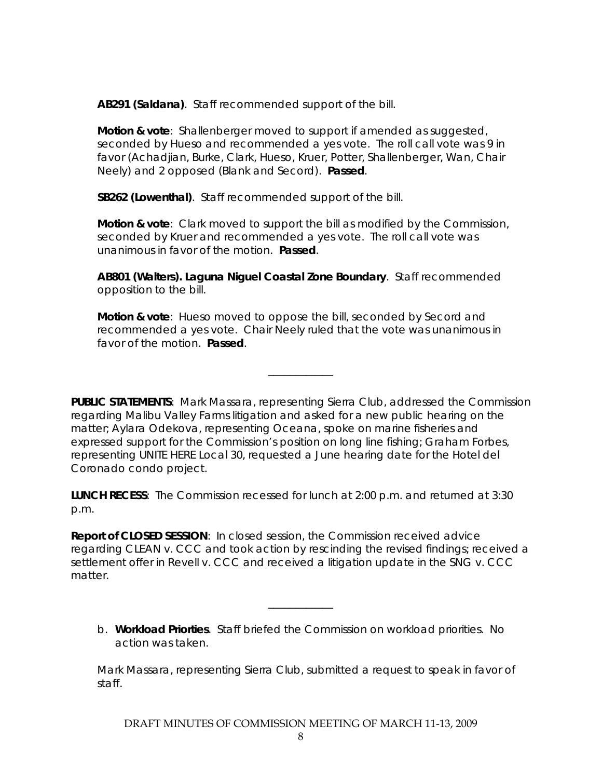**AB291 (Saldana)**. Staff recommended support of the bill.

**Motion & vote**: Shallenberger moved to support if amended as suggested, seconded by Hueso and recommended a yes vote. The roll call vote was 9 in favor (Achadjian, Burke, Clark, Hueso, Kruer, Potter, Shallenberger, Wan, Chair Neely) and 2 opposed (Blank and Secord). **Passed**.

**SB262 (Lowenthal)**. Staff recommended support of the bill.

**Motion & vote**: Clark moved to support the bill as modified by the Commission, seconded by Kruer and recommended a yes vote. The roll call vote was unanimous in favor of the motion. **Passed**.

**AB801 (Walters). Laguna Niguel Coastal Zone Boundary**. Staff recommended opposition to the bill.

**Motion & vote**: Hueso moved to oppose the bill, seconded by Secord and recommended a yes vote. Chair Neely ruled that the vote was unanimous in favor of the motion. **Passed**.

\_\_\_\_\_\_\_\_\_\_\_\_

**PUBLIC STATEMENTS**: Mark Massara, representing Sierra Club, addressed the Commission regarding Malibu Valley Farms litigation and asked for a new public hearing on the matter; Aylara Odekova, representing Oceana, spoke on marine fisheries and expressed support for the Commission's position on long line fishing; Graham Forbes, representing UNITE HERE Local 30, requested a June hearing date for the Hotel del Coronado condo project.

**LUNCH RECESS**: The Commission recessed for lunch at 2:00 p.m. and returned at 3:30 p.m.

**Report of CLOSED SESSION**: In closed session, the Commission received advice regarding CLEAN v. CCC and took action by rescinding the revised findings; received a settlement offer in Revell v. CCC and received a litigation update in the SNG v. CCC matter.

b. **Workload Priorties**. Staff briefed the Commission on workload priorities. No action was taken.

\_\_\_\_\_\_\_\_\_\_\_\_

Mark Massara, representing Sierra Club, submitted a request to speak in favor of staff.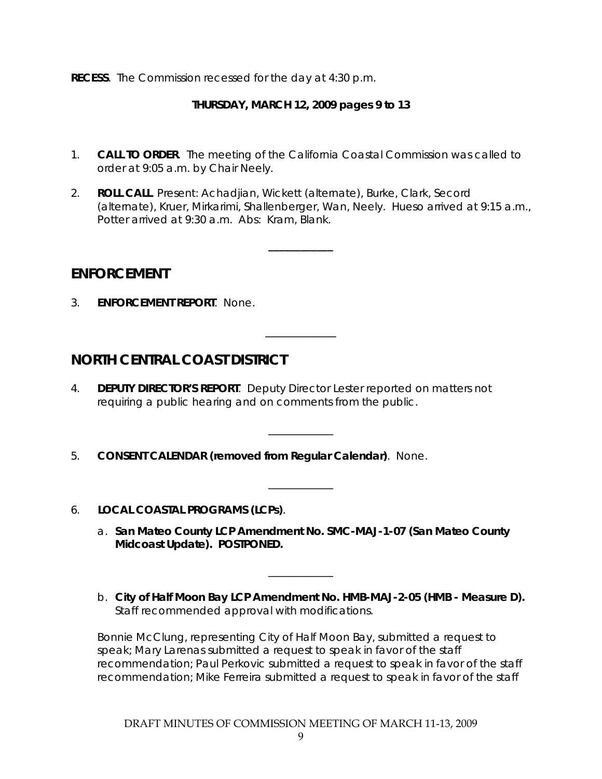**RECESS**. The Commission recessed for the day at 4:30 p.m.

### **THURSDAY, MARCH 12, 2009 pages 9 to 13**

- 1. **CALL TO ORDER**. The meeting of the California Coastal Commission was called to order at 9:05 a.m. by Chair Neely.
- 2. **ROLL CALL**. Present: Achadjian, Wickett (alternate), Burke, Clark, Secord (alternate), Kruer, Mirkarimi, Shallenberger, Wan, Neely. Hueso arrived at 9:15 a.m., Potter arrived at 9:30 a.m. Abs: Kram, Blank.

**\_\_\_\_\_\_\_\_\_\_\_\_**

\_\_\_\_\_\_\_\_\_\_\_\_

\_\_\_\_\_\_\_\_\_\_\_\_

\_\_\_\_\_\_\_\_\_\_\_\_

## **ENFORCEMENT**

3. **ENFORCEMENT REPORT**. None.

## **NORTH CENTRAL COAST DISTRICT**

- 4. **DEPUTY DIRECTOR'S REPORT**. Deputy Director Lester reported on matters not requiring a public hearing and on comments from the public.
- 5. **CONSENT CALENDAR (removed from Regular Calendar)**. None.
- 6. **LOCAL COASTAL PROGRAMS (LCPs)**.
	- a. **San Mateo County LCP Amendment No. SMC-MAJ-1-07 (San Mateo County Midcoast Update). POSTPONED.**

\_\_\_\_\_\_\_\_\_\_\_\_

b. **City of Half Moon Bay LCP Amendment No. HMB-MAJ-2-05 (HMB - Measure D).** Staff recommended approval with modifications.

Bonnie McClung, representing City of Half Moon Bay, submitted a request to speak; Mary Larenas submitted a request to speak in favor of the staff recommendation; Paul Perkovic submitted a request to speak in favor of the staff recommendation; Mike Ferreira submitted a request to speak in favor of the staff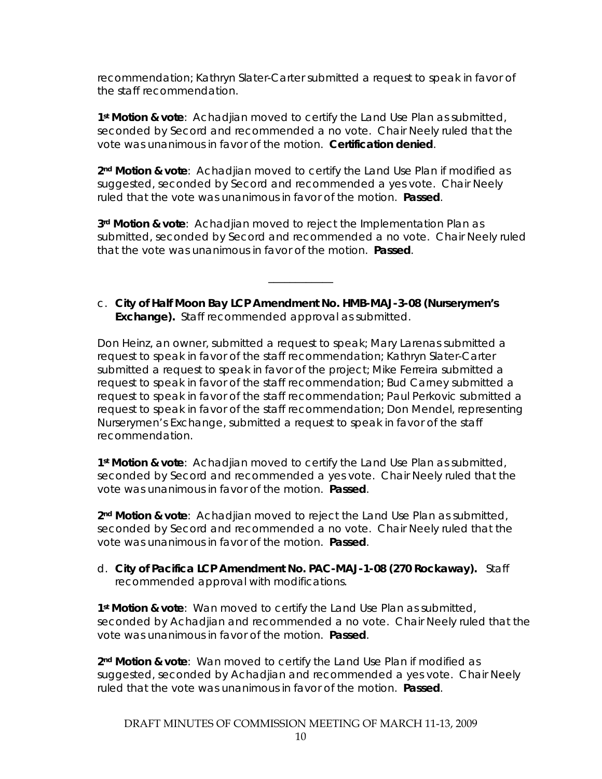recommendation; Kathryn Slater-Carter submitted a request to speak in favor of the staff recommendation.

**1st Motion & vote**: Achadjian moved to certify the Land Use Plan as submitted, seconded by Secord and recommended a no vote. Chair Neely ruled that the vote was unanimous in favor of the motion. **Certification denied**.

**2nd Motion & vote**: Achadjian moved to certify the Land Use Plan if modified as suggested, seconded by Secord and recommended a yes vote. Chair Neely ruled that the vote was unanimous in favor of the motion. **Passed**.

**3rd Motion & vote**: Achadjian moved to reject the Implementation Plan as submitted, seconded by Secord and recommended a no vote. Chair Neely ruled that the vote was unanimous in favor of the motion. **Passed**.

c. **City of Half Moon Bay LCP Amendment No. HMB-MAJ-3-08 (Nurserymen's Exchange).** Staff recommended approval as submitted.

\_\_\_\_\_\_\_\_\_\_\_\_

Don Heinz, an owner, submitted a request to speak; Mary Larenas submitted a request to speak in favor of the staff recommendation; Kathryn Slater-Carter submitted a request to speak in favor of the project; Mike Ferreira submitted a request to speak in favor of the staff recommendation; Bud Carney submitted a request to speak in favor of the staff recommendation; Paul Perkovic submitted a request to speak in favor of the staff recommendation; Don Mendel, representing Nurserymen's Exchange, submitted a request to speak in favor of the staff recommendation.

**1st Motion & vote**: Achadjian moved to certify the Land Use Plan as submitted, seconded by Secord and recommended a yes vote. Chair Neely ruled that the vote was unanimous in favor of the motion. **Passed**.

**2nd Motion & vote**: Achadjian moved to reject the Land Use Plan as submitted, seconded by Secord and recommended a no vote. Chair Neely ruled that the vote was unanimous in favor of the motion. **Passed**.

d. **City of Pacifica LCP Amendment No. PAC-MAJ-1-08 (270 Rockaway).** Staff recommended approval with modifications.

**1st Motion & vote**: Wan moved to certify the Land Use Plan as submitted, seconded by Achadjian and recommended a no vote. Chair Neely ruled that the vote was unanimous in favor of the motion. **Passed**.

**2nd Motion & vote**: Wan moved to certify the Land Use Plan if modified as suggested, seconded by Achadjian and recommended a yes vote. Chair Neely ruled that the vote was unanimous in favor of the motion. **Passed**.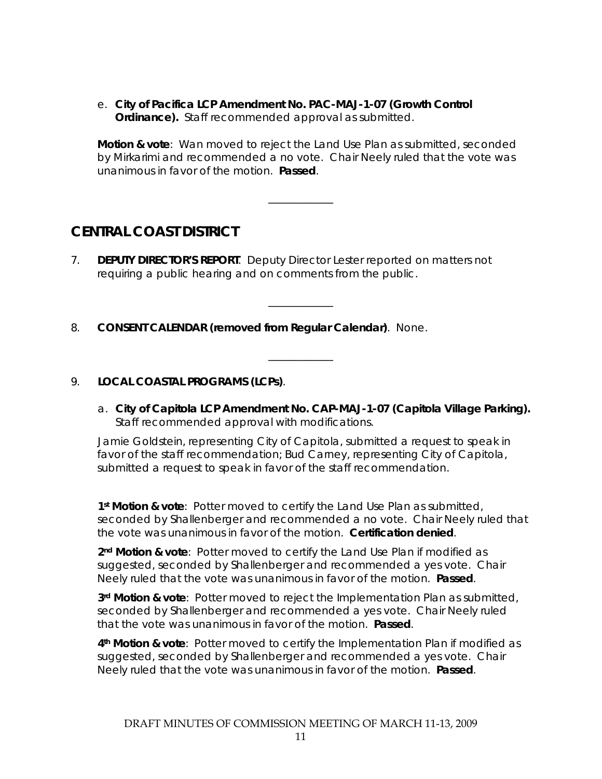e. **City of Pacifica LCP Amendment No. PAC-MAJ-1-07 (Growth Control Ordinance).** Staff recommended approval as submitted.

**Motion & vote**: Wan moved to reject the Land Use Plan as submitted, seconded by Mirkarimi and recommended a no vote. Chair Neely ruled that the vote was unanimous in favor of the motion. **Passed**.

\_\_\_\_\_\_\_\_\_\_\_\_

\_\_\_\_\_\_\_\_\_\_\_\_

\_\_\_\_\_\_\_\_\_\_\_\_

# **CENTRAL COAST DISTRICT**

- 7. **DEPUTY DIRECTOR'S REPORT**. Deputy Director Lester reported on matters not requiring a public hearing and on comments from the public.
- 8. **CONSENT CALENDAR (removed from Regular Calendar)**. None.

#### 9. **LOCAL COASTAL PROGRAMS (LCPs)**.

a. **City of Capitola LCP Amendment No. CAP-MAJ-1-07 (Capitola Village Parking).** Staff recommended approval with modifications.

Jamie Goldstein, representing City of Capitola, submitted a request to speak in favor of the staff recommendation; Bud Carney, representing City of Capitola, submitted a request to speak in favor of the staff recommendation.

**1st Motion & vote**: Potter moved to certify the Land Use Plan as submitted, seconded by Shallenberger and recommended a no vote. Chair Neely ruled that the vote was unanimous in favor of the motion. **Certification denied**.

**2nd Motion & vote**: Potter moved to certify the Land Use Plan if modified as suggested, seconded by Shallenberger and recommended a yes vote. Chair Neely ruled that the vote was unanimous in favor of the motion. **Passed**.

**3rd Motion & vote**: Potter moved to reject the Implementation Plan as submitted, seconded by Shallenberger and recommended a yes vote. Chair Neely ruled that the vote was unanimous in favor of the motion. **Passed**.

**4th Motion & vote**: Potter moved to certify the Implementation Plan if modified as suggested, seconded by Shallenberger and recommended a yes vote. Chair Neely ruled that the vote was unanimous in favor of the motion. **Passed**.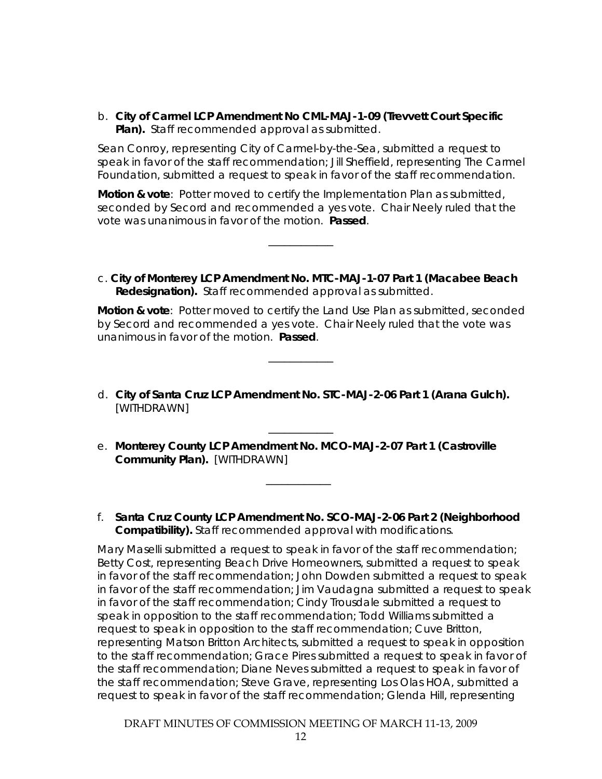b. **City of Carmel LCP Amendment No CML-MAJ-1-09 (Trevvett Court Specific Plan).** Staff recommended approval as submitted.

Sean Conroy, representing City of Carmel-by-the-Sea, submitted a request to speak in favor of the staff recommendation; Jill Sheffield, representing The Carmel Foundation, submitted a request to speak in favor of the staff recommendation.

**Motion & vote**: Potter moved to certify the Implementation Plan as submitted, seconded by Secord and recommended a yes vote. Chair Neely ruled that the vote was unanimous in favor of the motion. **Passed**.

\_\_\_\_\_\_\_\_\_\_\_\_

c. **City of Monterey LCP Amendment No. MTC-MAJ-1-07 Part 1 (Macabee Beach Redesignation).** Staff recommended approval as submitted.

**Motion & vote**: Potter moved to certify the Land Use Plan as submitted, seconded by Secord and recommended a yes vote. Chair Neely ruled that the vote was unanimous in favor of the motion. **Passed**.

d. **City of Santa Cruz LCP Amendment No. STC-MAJ-2-06 Part 1 (Arana Gulch).** [WITHDRAWN]

\_\_\_\_\_\_\_\_\_\_\_\_

e. **Monterey County LCP Amendment No. MCO-MAJ-2-07 Part 1 (Castroville Community Plan).** [WITHDRAWN]

 $\overline{\phantom{a}}$   $\overline{\phantom{a}}$   $\overline{\phantom{a}}$   $\overline{\phantom{a}}$   $\overline{\phantom{a}}$   $\overline{\phantom{a}}$   $\overline{\phantom{a}}$   $\overline{\phantom{a}}$   $\overline{\phantom{a}}$   $\overline{\phantom{a}}$   $\overline{\phantom{a}}$   $\overline{\phantom{a}}$   $\overline{\phantom{a}}$   $\overline{\phantom{a}}$   $\overline{\phantom{a}}$   $\overline{\phantom{a}}$   $\overline{\phantom{a}}$   $\overline{\phantom{a}}$   $\overline{\$ 

\_\_\_\_\_\_\_\_\_\_\_\_

f. **Santa Cruz County LCP Amendment No. SCO-MAJ-2-06 Part 2 (Neighborhood Compatibility).** Staff recommended approval with modifications.

Mary Maselli submitted a request to speak in favor of the staff recommendation; Betty Cost, representing Beach Drive Homeowners, submitted a request to speak in favor of the staff recommendation; John Dowden submitted a request to speak in favor of the staff recommendation; Jim Vaudagna submitted a request to speak in favor of the staff recommendation; Cindy Trousdale submitted a request to speak in opposition to the staff recommendation; Todd Williams submitted a request to speak in opposition to the staff recommendation; Cuve Britton, representing Matson Britton Architects, submitted a request to speak in opposition to the staff recommendation; Grace Pires submitted a request to speak in favor of the staff recommendation; Diane Neves submitted a request to speak in favor of the staff recommendation; Steve Grave, representing Los Olas HOA, submitted a request to speak in favor of the staff recommendation; Glenda Hill, representing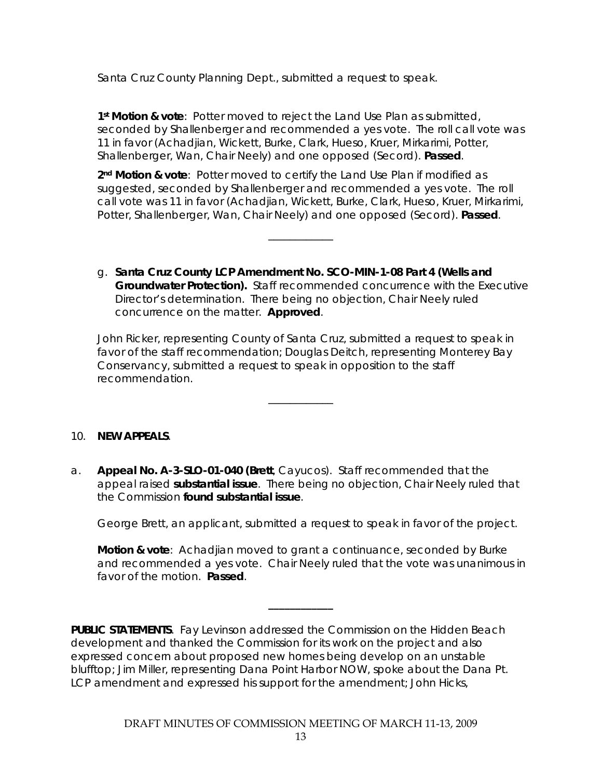Santa Cruz County Planning Dept., submitted a request to speak.

**1st Motion & vote**: Potter moved to reject the Land Use Plan as submitted, seconded by Shallenberger and recommended a yes vote. The roll call vote was 11 in favor (Achadjian, Wickett, Burke, Clark, Hueso, Kruer, Mirkarimi, Potter, Shallenberger, Wan, Chair Neely) and one opposed (Secord). **Passed**.

**2nd Motion & vote**: Potter moved to certify the Land Use Plan if modified as suggested, seconded by Shallenberger and recommended a yes vote. The roll call vote was 11 in favor (Achadjian, Wickett, Burke, Clark, Hueso, Kruer, Mirkarimi, Potter, Shallenberger, Wan, Chair Neely) and one opposed (Secord). **Passed**.

\_\_\_\_\_\_\_\_\_\_\_\_

g. **Santa Cruz County LCP Amendment No. SCO-MIN-1-08 Part 4 (Wells and Groundwater Protection).** Staff recommended concurrence with the Executive Director's determination. There being no objection, Chair Neely ruled concurrence on the matter. **Approved**.

John Ricker, representing County of Santa Cruz, submitted a request to speak in favor of the staff recommendation; Douglas Deitch, representing Monterey Bay Conservancy, submitted a request to speak in opposition to the staff recommendation.

\_\_\_\_\_\_\_\_\_\_\_\_

#### 10. **NEW APPEALS**.

a. **Appeal No. A-3-SLO-01-040 (Brett**, Cayucos). Staff recommended that the appeal raised **substantial issue**. There being no objection, Chair Neely ruled that the Commission **found substantial issue**.

George Brett, an applicant, submitted a request to speak in favor of the project.

**Motion & vote**: Achadjian moved to grant a continuance, seconded by Burke and recommended a yes vote. Chair Neely ruled that the vote was unanimous in favor of the motion. **Passed**.

**\_\_\_\_\_\_\_\_\_\_\_\_**

**PUBLIC STATEMENTS**. Fay Levinson addressed the Commission on the Hidden Beach development and thanked the Commission for its work on the project and also expressed concern about proposed new homes being develop on an unstable blufftop; Jim Miller, representing Dana Point Harbor NOW, spoke about the Dana Pt. LCP amendment and expressed his support for the amendment; John Hicks,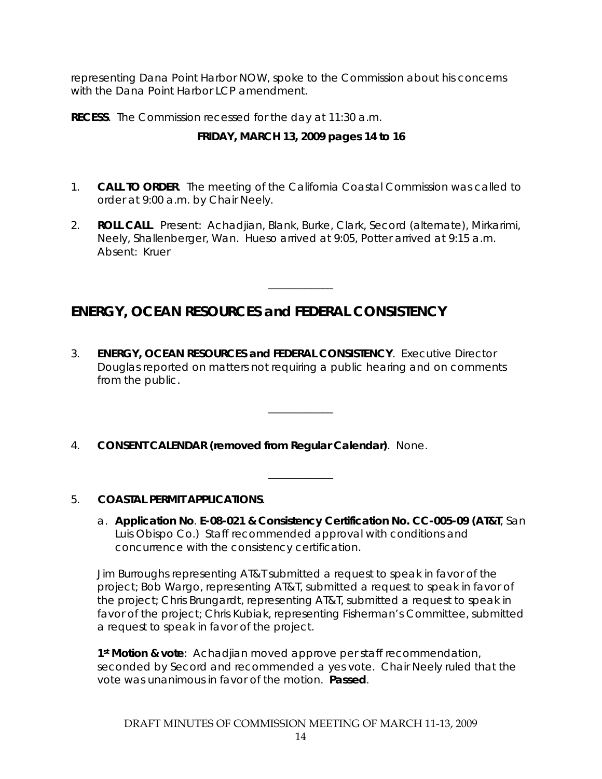representing Dana Point Harbor NOW, spoke to the Commission about his concerns with the Dana Point Harbor LCP amendment.

**RECESS**. The Commission recessed for the day at 11:30 a.m.

## **FRIDAY, MARCH 13, 2009 pages 14 to 16**

- 1. **CALL TO ORDER**. The meeting of the California Coastal Commission was called to order at 9:00 a.m. by Chair Neely.
- 2. **ROLL CALL**. Present: Achadjian, Blank, Burke, Clark, Secord (alternate), Mirkarimi, Neely, Shallenberger, Wan. Hueso arrived at 9:05, Potter arrived at 9:15 a.m. Absent: Kruer

\_\_\_\_\_\_\_\_\_\_\_\_

# **ENERGY, OCEAN RESOURCES and FEDERAL CONSISTENCY**

3. **ENERGY, OCEAN RESOURCES and FEDERAL CONSISTENCY**. Executive Director Douglas reported on matters not requiring a public hearing and on comments from the public.

\_\_\_\_\_\_\_\_\_\_\_\_

\_\_\_\_\_\_\_\_\_\_\_\_

4. **CONSENT CALENDAR (removed from Regular Calendar)**. None.

### 5. **COASTAL PERMIT APPLICATIONS**.

a. **Application No**. **E-08-021 & Consistency Certification No. CC-005-09 (AT&T**, San Luis Obispo Co.) Staff recommended approval with conditions and concurrence with the consistency certification.

Jim Burroughs representing AT&T submitted a request to speak in favor of the project; Bob Wargo, representing AT&T, submitted a request to speak in favor of the project; Chris Brungardt, representing AT&T, submitted a request to speak in favor of the project; Chris Kubiak, representing Fisherman's Committee, submitted a request to speak in favor of the project.

**1st Motion & vote**: Achadjian moved approve per staff recommendation, seconded by Secord and recommended a yes vote. Chair Neely ruled that the vote was unanimous in favor of the motion. **Passed**.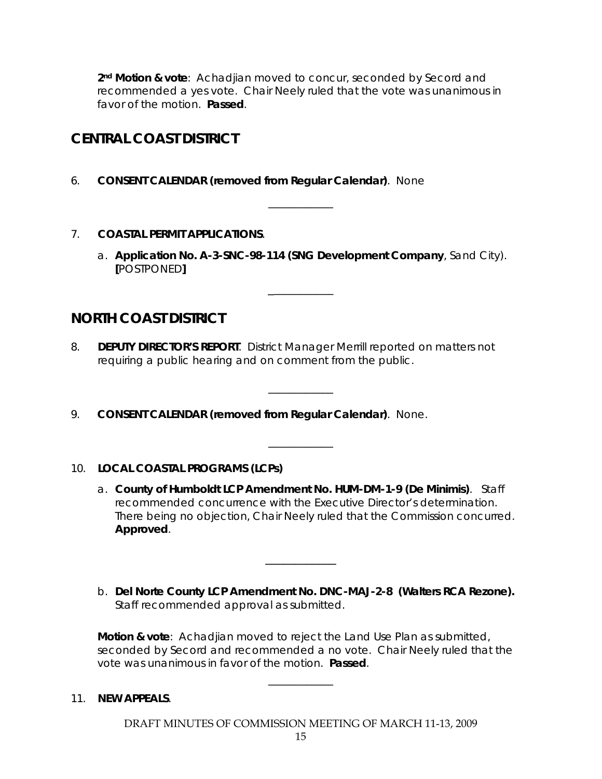**2nd Motion & vote**: Achadjian moved to concur, seconded by Secord and recommended a yes vote. Chair Neely ruled that the vote was unanimous in favor of the motion. **Passed**.

# **CENTRAL COAST DISTRICT**

- 6. **CONSENT CALENDAR (removed from Regular Calendar)**. None
- 7. **COASTAL PERMIT APPLICATIONS**.
	- a. **Application No. A-3-SNC-98-114 (SNG Development Company**, Sand City). **[**POSTPONED**]**

\_\_\_\_\_\_\_\_\_\_\_\_

\_\_\_\_\_\_\_\_\_\_\_\_

\_\_\_\_\_\_\_\_\_\_\_\_

\_\_\_\_\_\_\_\_\_\_\_\_

# **NORTH COAST DISTRICT**

- 8. **DEPUTY DIRECTOR'S REPORT**. District Manager Merrill reported on matters not requiring a public hearing and on comment from the public.
- 9. **CONSENT CALENDAR (removed from Regular Calendar)**. None.

### 10. **LOCAL COASTAL PROGRAMS (LCPs)**

- a. **County of Humboldt LCP Amendment No. HUM-DM-1-9 (De Minimis)**. Staff recommended concurrence with the Executive Director's determination. There being no objection, Chair Neely ruled that the Commission concurred. **Approved**.
- b. **Del Norte County LCP Amendment No. DNC-MAJ-2-8 (Walters RCA Rezone).** Staff recommended approval as submitted.

\_\_\_\_\_\_\_\_\_\_\_\_

**Motion & vote**: Achadjian moved to reject the Land Use Plan as submitted, seconded by Secord and recommended a no vote. Chair Neely ruled that the vote was unanimous in favor of the motion. **Passed**.

11. **NEW APPEALS**.

DRAFT MINUTES OF COMMISSION MEETING OF MARCH 11-13, 2009

\_\_\_\_\_\_\_\_\_\_\_\_